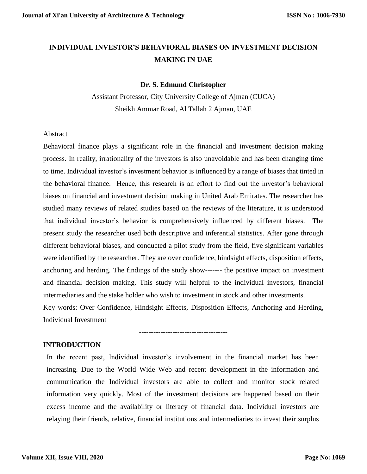# **INDIVIDUAL INVESTOR'S BEHAVIORAL BIASES ON INVESTMENT DECISION MAKING IN UAE**

### **Dr. S. Edmund Christopher**

Assistant Professor, City University College of Ajman (CUCA) Sheikh Ammar Road, Al Tallah 2 Ajman, UAE

### Abstract

Behavioral finance plays a significant role in the financial and investment decision making process. In reality, irrationality of the investors is also unavoidable and has been changing time to time. Individual investor's investment behavior is influenced by a range of biases that tinted in the behavioral finance. Hence, this research is an effort to find out the investor's behavioral biases on financial and investment decision making in United Arab Emirates. The researcher has studied many reviews of related studies based on the reviews of the literature, it is understood that individual investor's behavior is comprehensively influenced by different biases. The present study the researcher used both descriptive and inferential statistics. After gone through different behavioral biases, and conducted a pilot study from the field, five significant variables were identified by the researcher. They are over confidence, hindsight effects, disposition effects, anchoring and herding. The findings of the study show------- the positive impact on investment and financial decision making. This study will helpful to the individual investors, financial intermediaries and the stake holder who wish to investment in stock and other investments. Key words: Over Confidence, Hindsight Effects, Disposition Effects, Anchoring and Herding, Individual Investment

**INTRODUCTION**

In the recent past, Individual investor's involvement in the financial market has been increasing. Due to the World Wide Web and recent development in the information and communication the Individual investors are able to collect and monitor stock related information very quickly. Most of the investment decisions are happened based on their excess income and the availability or literacy of financial data. Individual investors are relaying their friends, relative, financial institutions and intermediaries to invest their surplus

-------------------------------------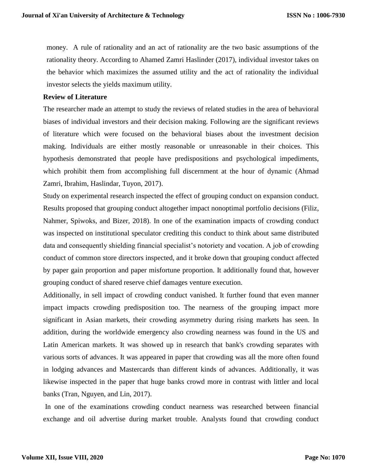money. A rule of rationality and an act of rationality are the two basic assumptions of the rationality theory. According to Ahamed Zamri Haslinder (2017), individual investor takes on the behavior which maximizes the assumed utility and the act of rationality the individual investor selects the yields maximum utility.

## **Review of Literature**

The researcher made an attempt to study the reviews of related studies in the area of behavioral biases of individual investors and their decision making. Following are the significant reviews of literature which were focused on the behavioral biases about the investment decision making. Individuals are either mostly reasonable or unreasonable in their choices. This hypothesis demonstrated that people have predispositions and psychological impediments, which prohibit them from accomplishing full discernment at the hour of dynamic (Ahmad Zamri, Ibrahim, Haslindar, Tuyon, 2017).

Study on experimental research inspected the effect of grouping conduct on expansion conduct. Results proposed that grouping conduct altogether impact nonoptimal portfolio decisions (Filiz, Nahmer, Spiwoks, and Bizer, 2018). In one of the examination impacts of crowding conduct was inspected on institutional speculator crediting this conduct to think about same distributed data and consequently shielding financial specialist's notoriety and vocation. A job of crowding conduct of common store directors inspected, and it broke down that grouping conduct affected by paper gain proportion and paper misfortune proportion. It additionally found that, however grouping conduct of shared reserve chief damages venture execution.

Additionally, in sell impact of crowding conduct vanished. It further found that even manner impact impacts crowding predisposition too. The nearness of the grouping impact more significant in Asian markets, their crowding asymmetry during rising markets has seen. In addition, during the worldwide emergency also crowding nearness was found in the US and Latin American markets. It was showed up in research that bank's crowding separates with various sorts of advances. It was appeared in paper that crowding was all the more often found in lodging advances and Mastercards than different kinds of advances. Additionally, it was likewise inspected in the paper that huge banks crowd more in contrast with littler and local banks (Tran, Nguyen, and Lin, 2017).

In one of the examinations crowding conduct nearness was researched between financial exchange and oil advertise during market trouble. Analysts found that crowding conduct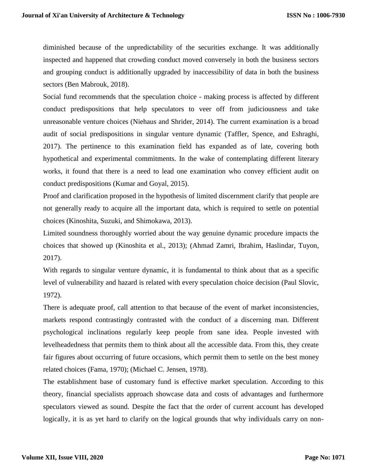diminished because of the unpredictability of the securities exchange. It was additionally inspected and happened that crowding conduct moved conversely in both the business sectors and grouping conduct is additionally upgraded by inaccessibility of data in both the business sectors (Ben Mabrouk, 2018).

Social fund recommends that the speculation choice - making process is affected by different conduct predispositions that help speculators to veer off from judiciousness and take unreasonable venture choices (Niehaus and Shrider, 2014). The current examination is a broad audit of social predispositions in singular venture dynamic (Taffler, Spence, and Eshraghi, 2017). The pertinence to this examination field has expanded as of late, covering both hypothetical and experimental commitments. In the wake of contemplating different literary works, it found that there is a need to lead one examination who convey efficient audit on conduct predispositions (Kumar and Goyal, 2015).

Proof and clarification proposed in the hypothesis of limited discernment clarify that people are not generally ready to acquire all the important data, which is required to settle on potential choices (Kinoshita, Suzuki, and Shimokawa, 2013).

Limited soundness thoroughly worried about the way genuine dynamic procedure impacts the choices that showed up (Kinoshita et al., 2013); (Ahmad Zamri, Ibrahim, Haslindar, Tuyon, 2017).

With regards to singular venture dynamic, it is fundamental to think about that as a specific level of vulnerability and hazard is related with every speculation choice decision (Paul Slovic, 1972).

There is adequate proof, call attention to that because of the event of market inconsistencies, markets respond contrastingly contrasted with the conduct of a discerning man. Different psychological inclinations regularly keep people from sane idea. People invested with levelheadedness that permits them to think about all the accessible data. From this, they create fair figures about occurring of future occasions, which permit them to settle on the best money related choices (Fama, 1970); (Michael C. Jensen, 1978).

The establishment base of customary fund is effective market speculation. According to this theory, financial specialists approach showcase data and costs of advantages and furthermore speculators viewed as sound. Despite the fact that the order of current account has developed logically, it is as yet hard to clarify on the logical grounds that why individuals carry on non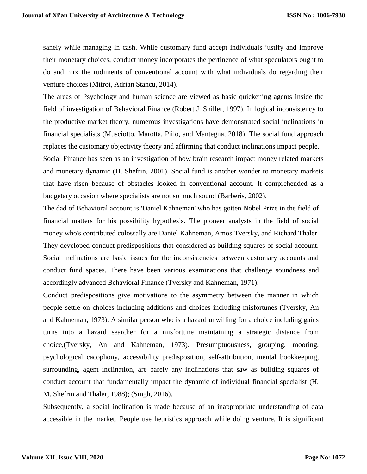sanely while managing in cash. While customary fund accept individuals justify and improve their monetary choices, conduct money incorporates the pertinence of what speculators ought to do and mix the rudiments of conventional account with what individuals do regarding their venture choices (Mitroi, Adrian Stancu, 2014).

The areas of Psychology and human science are viewed as basic quickening agents inside the field of investigation of Behavioral Finance (Robert J. Shiller, 1997). In logical inconsistency to the productive market theory, numerous investigations have demonstrated social inclinations in financial specialists (Musciotto, Marotta, Piilo, and Mantegna, 2018). The social fund approach replaces the customary objectivity theory and affirming that conduct inclinations impact people.

Social Finance has seen as an investigation of how brain research impact money related markets and monetary dynamic (H. Shefrin, 2001). Social fund is another wonder to monetary markets that have risen because of obstacles looked in conventional account. It comprehended as a budgetary occasion where specialists are not so much sound (Barberis, 2002).

The dad of Behavioral account is 'Daniel Kahneman' who has gotten Nobel Prize in the field of financial matters for his possibility hypothesis. The pioneer analysts in the field of social money who's contributed colossally are Daniel Kahneman, Amos Tversky, and Richard Thaler. They developed conduct predispositions that considered as building squares of social account. Social inclinations are basic issues for the inconsistencies between customary accounts and conduct fund spaces. There have been various examinations that challenge soundness and accordingly advanced Behavioral Finance (Tversky and Kahneman, 1971).

Conduct predispositions give motivations to the asymmetry between the manner in which people settle on choices including additions and choices including misfortunes (Tversky, An and Kahneman, 1973). A similar person who is a hazard unwilling for a choice including gains turns into a hazard searcher for a misfortune maintaining a strategic distance from choice,(Tversky, An and Kahneman, 1973). Presumptuousness, grouping, mooring, psychological cacophony, accessibility predisposition, self-attribution, mental bookkeeping, surrounding, agent inclination, are barely any inclinations that saw as building squares of conduct account that fundamentally impact the dynamic of individual financial specialist (H. M. Shefrin and Thaler, 1988); (Singh, 2016).

Subsequently, a social inclination is made because of an inappropriate understanding of data accessible in the market. People use heuristics approach while doing venture. It is significant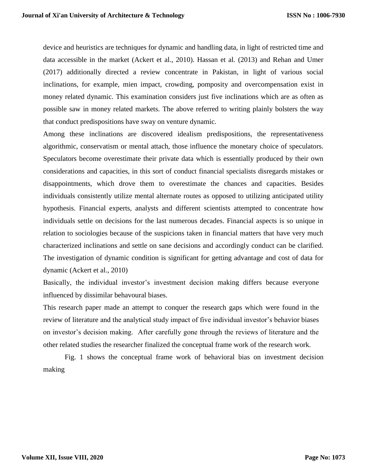device and heuristics are techniques for dynamic and handling data, in light of restricted time and data accessible in the market (Ackert et al., 2010). Hassan et al. (2013) and Rehan and Umer (2017) additionally directed a review concentrate in Pakistan, in light of various social inclinations, for example, mien impact, crowding, pomposity and overcompensation exist in money related dynamic. This examination considers just five inclinations which are as often as possible saw in money related markets. The above referred to writing plainly bolsters the way that conduct predispositions have sway on venture dynamic.

Among these inclinations are discovered idealism predispositions, the representativeness algorithmic, conservatism or mental attach, those influence the monetary choice of speculators. Speculators become overestimate their private data which is essentially produced by their own considerations and capacities, in this sort of conduct financial specialists disregards mistakes or disappointments, which drove them to overestimate the chances and capacities. Besides individuals consistently utilize mental alternate routes as opposed to utilizing anticipated utility hypothesis. Financial experts, analysts and different scientists attempted to concentrate how individuals settle on decisions for the last numerous decades. Financial aspects is so unique in relation to sociologies because of the suspicions taken in financial matters that have very much characterized inclinations and settle on sane decisions and accordingly conduct can be clarified. The investigation of dynamic condition is significant for getting advantage and cost of data for dynamic (Ackert et al., 2010)

Basically, the individual investor's investment decision making differs because everyone influenced by dissimilar behavoural biases.

This research paper made an attempt to conquer the research gaps which were found in the review of literature and the analytical study impact of five individual investor's behavior biases on investor's decision making. After carefully gone through the reviews of literature and the other related studies the researcher finalized the conceptual frame work of the research work.

Fig. 1 shows the conceptual frame work of behavioral bias on investment decision making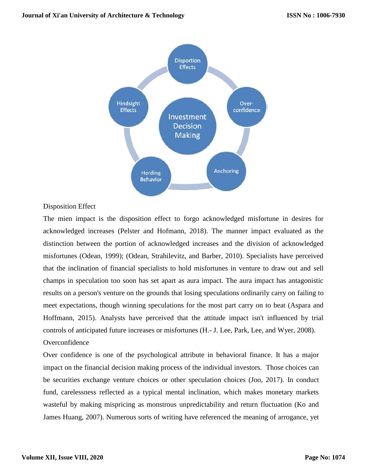

### Disposition Effect

The mien impact is the disposition effect to forgo acknowledged misfortune in desires for acknowledged increases (Pelster and Hofmann, 2018). The manner impact evaluated as the distinction between the portion of acknowledged increases and the division of acknowledged misfortunes (Odean, 1999); (Odean, Strahilevitz, and Barber, 2010). Specialists have perceived that the inclination of financial specialists to hold misfortunes in venture to draw out and sell champs in speculation too soon has set apart as aura impact. The aura impact has antagonistic results on a person's venture on the grounds that losing speculations ordinarily carry on failing to meet expectations, though winning speculations for the most part carry on to beat (Aspara and Hoffmann, 2015). Analysts have perceived that the attitude impact isn't influenced by trial controls of anticipated future increases or misfortunes (H.- J. Lee, Park, Lee, and Wyer, 2008). **Overconfidence** 

Over confidence is one of the psychological attribute in behavioral finance. It has a major impact on the financial decision making process of the individual investors. Those choices can be securities exchange venture choices or other speculation choices (Joo, 2017). In conduct fund, carelessness reflected as a typical mental inclination, which makes monetary markets wasteful by making mispricing as monstrous unpredictability and return fluctuation (Ko and James Huang, 2007). Numerous sorts of writing have referenced the meaning of arrogance, yet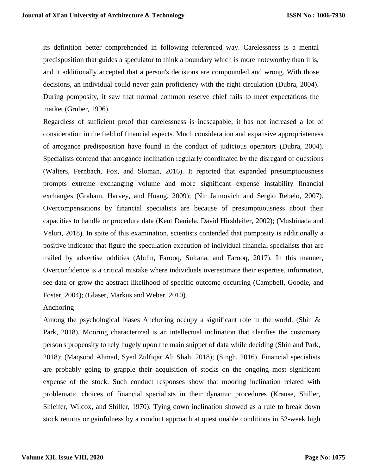its definition better comprehended in following referenced way. Carelessness is a mental predisposition that guides a speculator to think a boundary which is more noteworthy than it is, and it additionally accepted that a person's decisions are compounded and wrong. With those decisions, an individual could never gain proficiency with the right circulation (Dubra, 2004). During pomposity, it saw that normal common reserve chief fails to meet expectations the market (Gruber, 1996).

Regardless of sufficient proof that carelessness is inescapable, it has not increased a lot of consideration in the field of financial aspects. Much consideration and expansive appropriateness of arrogance predisposition have found in the conduct of judicious operators (Dubra, 2004). Specialists contend that arrogance inclination regularly coordinated by the disregard of questions (Walters, Fernbach, Fox, and Sloman, 2016). It reported that expanded presumptuousness prompts extreme exchanging volume and more significant expense instability financial exchanges (Graham, Harvey, and Huang, 2009); (Nir Jaimovich and Sergio Rebelo, 2007). Overcompensations by financial specialists are because of presumptuousness about their capacities to handle or procedure data (Kent Daniela, David Hirshleifer, 2002); (Mushinada and Veluri, 2018). In spite of this examination, scientists contended that pomposity is additionally a positive indicator that figure the speculation execution of individual financial specialists that are trailed by advertise oddities (Abdin, Farooq, Sultana, and Farooq, 2017). In this manner, Overconfidence is a critical mistake where individuals overestimate their expertise, information, see data or grow the abstract likelihood of specific outcome occurring (Campbell, Goodie, and Foster, 2004); (Glaser, Markus and Weber, 2010).

### Anchoring

Among the psychological biases Anchoring occupy a significant role in the world. (Shin & Park, 2018). Mooring characterized is an intellectual inclination that clarifies the customary person's propensity to rely hugely upon the main snippet of data while deciding (Shin and Park, 2018); (Maqsood Ahmad, Syed Zulfiqar Ali Shah, 2018); (Singh, 2016). Financial specialists are probably going to grapple their acquisition of stocks on the ongoing most significant expense of the stock. Such conduct responses show that mooring inclination related with problematic choices of financial specialists in their dynamic procedures (Krause, Shiller, Shleifer, Wilcox, and Shiller, 1970). Tying down inclination showed as a rule to break down stock returns or gainfulness by a conduct approach at questionable conditions in 52-week high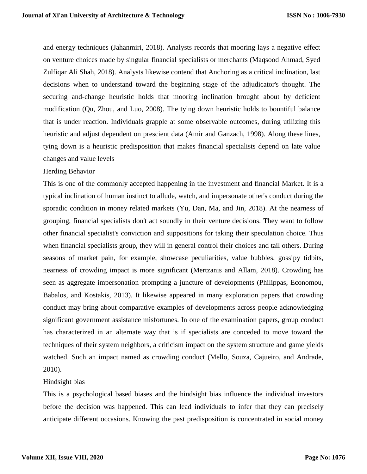and energy techniques (Jahanmiri, 2018). Analysts records that mooring lays a negative effect on venture choices made by singular financial specialists or merchants (Maqsood Ahmad, Syed Zulfiqar Ali Shah, 2018). Analysts likewise contend that Anchoring as a critical inclination, last decisions when to understand toward the beginning stage of the adjudicator's thought. The securing and-change heuristic holds that mooring inclination brought about by deficient modification (Qu, Zhou, and Luo, 2008). The tying down heuristic holds to bountiful balance that is under reaction. Individuals grapple at some observable outcomes, during utilizing this heuristic and adjust dependent on prescient data (Amir and Ganzach, 1998). Along these lines, tying down is a heuristic predisposition that makes financial specialists depend on late value changes and value levels

## Herding Behavior

This is one of the commonly accepted happening in the investment and financial Market. It is a typical inclination of human instinct to allude, watch, and impersonate other's conduct during the sporadic condition in money related markets (Yu, Dan, Ma, and Jin, 2018). At the nearness of grouping, financial specialists don't act soundly in their venture decisions. They want to follow other financial specialist's conviction and suppositions for taking their speculation choice. Thus when financial specialists group, they will in general control their choices and tail others. During seasons of market pain, for example, showcase peculiarities, value bubbles, gossipy tidbits, nearness of crowding impact is more significant (Mertzanis and Allam, 2018). Crowding has seen as aggregate impersonation prompting a juncture of developments (Philippas, Economou, Babalos, and Kostakis, 2013). It likewise appeared in many exploration papers that crowding conduct may bring about comparative examples of developments across people acknowledging significant government assistance misfortunes. In one of the examination papers, group conduct has characterized in an alternate way that is if specialists are conceded to move toward the techniques of their system neighbors, a criticism impact on the system structure and game yields watched. Such an impact named as crowding conduct (Mello, Souza, Cajueiro, and Andrade, 2010).

### Hindsight bias

This is a psychological based biases and the hindsight bias influence the individual investors before the decision was happened. This can lead individuals to infer that they can precisely anticipate different occasions. Knowing the past predisposition is concentrated in social money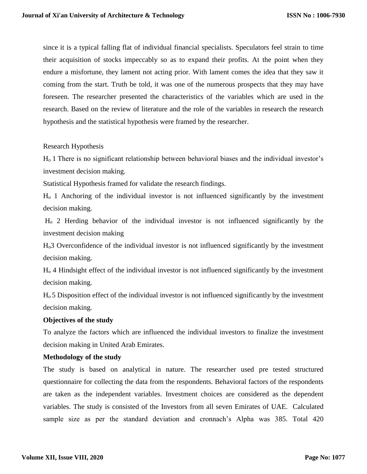since it is a typical falling flat of individual financial specialists. Speculators feel strain to time their acquisition of stocks impeccably so as to expand their profits. At the point when they endure a misfortune, they lament not acting prior. With lament comes the idea that they saw it coming from the start. Truth be told, it was one of the numerous prospects that they may have foreseen. The researcher presented the characteristics of the variables which are used in the research. Based on the review of literature and the role of the variables in research the research hypothesis and the statistical hypothesis were framed by the researcher.

## Research Hypothesis

Ho 1 There is no significant relationship between behavioral biases and the individual investor's investment decision making.

Statistical Hypothesis framed for validate the research findings.

H<sup>o</sup> 1 Anchoring of the individual investor is not influenced significantly by the investment decision making.

H<sup>o</sup> 2 Herding behavior of the individual investor is not influenced significantly by the investment decision making

Ho3 Overconfidence of the individual investor is not influenced significantly by the investment decision making.

H<sup>o</sup> 4 Hindsight effect of the individual investor is not influenced significantly by the investment decision making.

H<sup>o</sup> 5 Disposition effect of the individual investor is not influenced significantly by the investment decision making.

## **Objectives of the study**

To analyze the factors which are influenced the individual investors to finalize the investment decision making in United Arab Emirates.

### **Methodology of the study**

The study is based on analytical in nature. The researcher used pre tested structured questionnaire for collecting the data from the respondents. Behavioral factors of the respondents are taken as the independent variables. Investment choices are considered as the dependent variables. The study is consisted of the Investors from all seven Emirates of UAE. Calculated sample size as per the standard deviation and cronnach's Alpha was 385. Total 420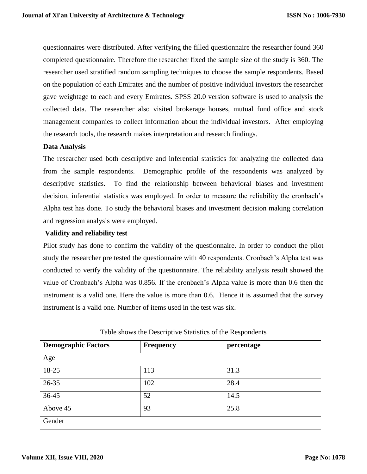questionnaires were distributed. After verifying the filled questionnaire the researcher found 360 completed questionnaire. Therefore the researcher fixed the sample size of the study is 360. The researcher used stratified random sampling techniques to choose the sample respondents. Based on the population of each Emirates and the number of positive individual investors the researcher gave weightage to each and every Emirates. SPSS 20.0 version software is used to analysis the collected data. The researcher also visited brokerage houses, mutual fund office and stock management companies to collect information about the individual investors. After employing the research tools, the research makes interpretation and research findings.

## **Data Analysis**

The researcher used both descriptive and inferential statistics for analyzing the collected data from the sample respondents. Demographic profile of the respondents was analyzed by descriptive statistics. To find the relationship between behavioral biases and investment decision, inferential statistics was employed. In order to measure the reliability the cronbach's Alpha test has done. To study the behavioral biases and investment decision making correlation and regression analysis were employed.

## **Validity and reliability test**

Pilot study has done to confirm the validity of the questionnaire. In order to conduct the pilot study the researcher pre tested the questionnaire with 40 respondents. Cronbach's Alpha test was conducted to verify the validity of the questionnaire. The reliability analysis result showed the value of Cronbach's Alpha was 0.856. If the cronbach's Alpha value is more than 0.6 then the instrument is a valid one. Here the value is more than 0.6. Hence it is assumed that the survey instrument is a valid one. Number of items used in the test was six.

| <b>Demographic Factors</b> | <b>Frequency</b> | percentage |
|----------------------------|------------------|------------|
| Age                        |                  |            |
| 18-25                      | 113              | 31.3       |
| 26-35                      | 102              | 28.4       |
| 36-45                      | 52               | 14.5       |
| Above 45                   | 93               | 25.8       |
| Gender                     |                  |            |

## Table shows the Descriptive Statistics of the Respondents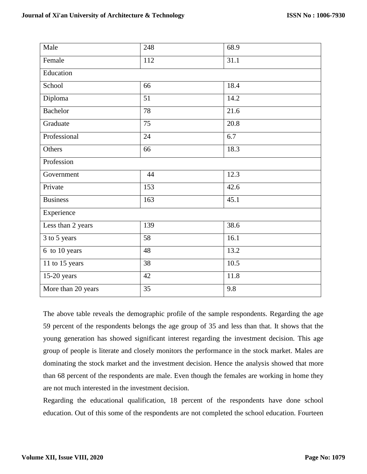| Male                       | 248 | 68.9 |  |  |  |  |  |
|----------------------------|-----|------|--|--|--|--|--|
| Female                     | 112 | 31.1 |  |  |  |  |  |
| Education                  |     |      |  |  |  |  |  |
| School                     | 66  | 18.4 |  |  |  |  |  |
| Diploma                    | 51  | 14.2 |  |  |  |  |  |
| <b>Bachelor</b>            | 78  | 21.6 |  |  |  |  |  |
| Graduate                   | 75  | 20.8 |  |  |  |  |  |
| Professional               | 24  | 6.7  |  |  |  |  |  |
| Others                     | 66  | 18.3 |  |  |  |  |  |
| Profession                 |     |      |  |  |  |  |  |
| Government                 | 44  | 12.3 |  |  |  |  |  |
| Private                    | 153 | 42.6 |  |  |  |  |  |
| <b>Business</b>            | 163 | 45.1 |  |  |  |  |  |
| Experience                 |     |      |  |  |  |  |  |
| Less than 2 years          | 139 | 38.6 |  |  |  |  |  |
| 3 to 5 years               | 58  | 16.1 |  |  |  |  |  |
| $\overline{6}$ to 10 years | 48  | 13.2 |  |  |  |  |  |
| 11 to 15 years             | 38  | 10.5 |  |  |  |  |  |
| 15-20 years                | 42  | 11.8 |  |  |  |  |  |
| More than 20 years         | 35  | 9.8  |  |  |  |  |  |

The above table reveals the demographic profile of the sample respondents. Regarding the age 59 percent of the respondents belongs the age group of 35 and less than that. It shows that the young generation has showed significant interest regarding the investment decision. This age group of people is literate and closely monitors the performance in the stock market. Males are dominating the stock market and the investment decision. Hence the analysis showed that more than 68 percent of the respondents are male. Even though the females are working in home they are not much interested in the investment decision.

Regarding the educational qualification, 18 percent of the respondents have done school education. Out of this some of the respondents are not completed the school education. Fourteen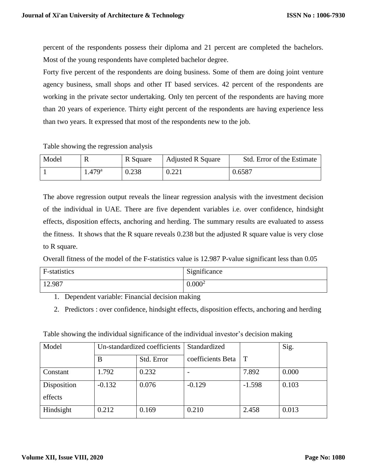percent of the respondents possess their diploma and 21 percent are completed the bachelors. Most of the young respondents have completed bachelor degree.

Forty five percent of the respondents are doing business. Some of them are doing joint venture agency business, small shops and other IT based services. 42 percent of the respondents are working in the private sector undertaking. Only ten percent of the respondents are having more than 20 years of experience. Thirty eight percent of the respondents are having experience less than two years. It expressed that most of the respondents new to the job.

## Table showing the regression analysis

| Model | V,                | R Square | <b>Adjusted R Square</b> | Std. Error of the Estimate |
|-------|-------------------|----------|--------------------------|----------------------------|
|       | .479 <sup>a</sup> | 0.238    | 0.221                    | 0.6587                     |

The above regression output reveals the linear regression analysis with the investment decision of the individual in UAE. There are five dependent variables i.e. over confidence, hindsight effects, disposition effects, anchoring and herding. The summary results are evaluated to assess the fitness. It shows that the R square reveals 0.238 but the adjusted R square value is very close to R square.

Overall fitness of the model of the F-statistics value is 12.987 P-value significant less than 0.05

| F-statistics | Significance       |
|--------------|--------------------|
| 12.987       | 0.000 <sup>2</sup> |

1. Dependent variable: Financial decision making

2. Predictors : over confidence, hindsight effects, disposition effects, anchoring and herding

Table showing the individual significance of the individual investor's decision making

| Model       | Un-standardized coefficients |       | Standardized      | Sig.     |       |
|-------------|------------------------------|-------|-------------------|----------|-------|
|             | Std. Error<br>B              |       | coefficients Beta | $\top$   |       |
| Constant    | 1.792<br>0.232               |       |                   | 7.892    | 0.000 |
| Disposition | $-0.132$<br>0.076            |       | $-0.129$          | $-1.598$ | 0.103 |
| effects     |                              |       |                   |          |       |
| Hindsight   | 0.212                        | 0.169 | 0.210             | 2.458    | 0.013 |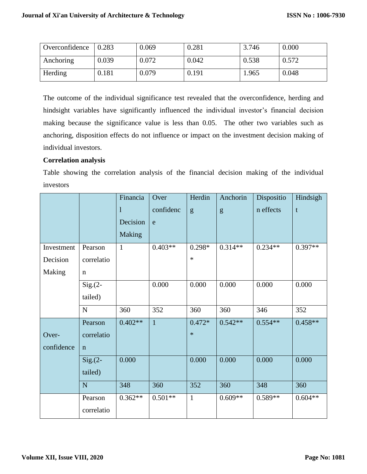| Overconfidence | 0.283 | 0.069 | 0.281 | 3.746 | 0.000 |
|----------------|-------|-------|-------|-------|-------|
| Anchoring      | 0.039 | 0.072 | 0.042 | 0.538 | 0.572 |
| Herding        | 0.181 | 0.079 | 0.191 | 1.965 | 0.048 |

The outcome of the individual significance test revealed that the overconfidence, herding and hindsight variables have significantly influenced the individual investor's financial decision making because the significance value is less than 0.05. The other two variables such as anchoring, disposition effects do not influence or impact on the investment decision making of individual investors.

## **Correlation analysis**

Table showing the correlation analysis of the financial decision making of the individual investors

|            |             | Financia     | Over           | Herdin       | Anchorin  | Dispositio | Hindsigh    |
|------------|-------------|--------------|----------------|--------------|-----------|------------|-------------|
|            |             | $\mathbf{1}$ | confidenc      | g            | g         | n effects  | $\mathbf t$ |
|            |             | Decision     | e              |              |           |            |             |
|            |             | Making       |                |              |           |            |             |
| Investment | Pearson     | $\mathbf{1}$ | $0.403**$      | $0.298*$     | $0.314**$ | $0.234**$  | $0.397**$   |
| Decision   | correlatio  |              |                | $\ast$       |           |            |             |
| Making     | $\mathbf n$ |              |                |              |           |            |             |
|            | $Sig(2 - )$ |              | 0.000          | 0.000        | 0.000     | 0.000      | 0.000       |
|            | tailed)     |              |                |              |           |            |             |
|            | ${\bf N}$   | 360          | 352            | 360          | 360       | 346        | 352         |
|            | Pearson     | $0.402**$    | $\overline{1}$ | $0.472*$     | $0.542**$ | $0.554**$  | $0.458**$   |
| Over-      | correlatio  |              |                | $\ast$       |           |            |             |
| confidence | $\mathbf n$ |              |                |              |           |            |             |
|            | $Sig(2 - )$ | 0.000        |                | 0.000        | 0.000     | 0.000      | 0.000       |
|            | tailed)     |              |                |              |           |            |             |
|            | ${\bf N}$   | 348          | 360            | 352          | 360       | 348        | 360         |
|            | Pearson     | $0.362**$    | $0.501**$      | $\mathbf{1}$ | $0.609**$ | $0.589**$  | $0.604**$   |
|            | correlatio  |              |                |              |           |            |             |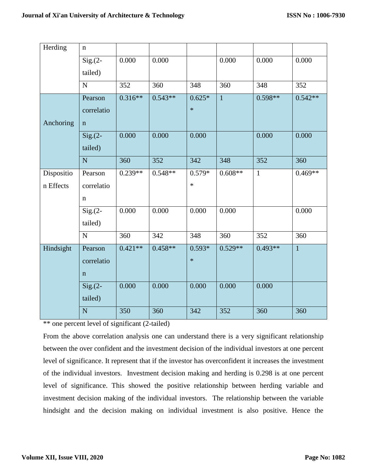| Herding    | $\mathbf n$    |                  |           |          |                  |              |              |
|------------|----------------|------------------|-----------|----------|------------------|--------------|--------------|
|            | $Sig(2 - )$    | 0.000            | 0.000     |          | 0.000            | 0.000        | 0.000        |
|            | tailed)        |                  |           |          |                  |              |              |
|            | ${\bf N}$      | 352              | 360       | 348      | 360              | 348          | 352          |
|            | Pearson        | $0.316**$        | $0.543**$ | $0.625*$ | $\mathbf{1}$     | $0.598**$    | $0.542**$    |
|            | correlatio     |                  |           | $\ast$   |                  |              |              |
| Anchoring  | $\mathbf n$    |                  |           |          |                  |              |              |
|            | $Sig(2 - )$    | 0.000            | 0.000     | 0.000    |                  | 0.000        | 0.000        |
|            | tailed)        |                  |           |          |                  |              |              |
|            | $\mathbf N$    | 360              | 352       | 342      | 348              | 352          | 360          |
| Dispositio | Pearson        | $0.239**$        | $0.548**$ | $0.579*$ | $0.608**$        | $\mathbf{1}$ | $0.469**$    |
| n Effects  | correlatio     |                  |           | $\ast$   |                  |              |              |
|            | $\mathbf n$    |                  |           |          |                  |              |              |
|            | $Sig(2 - )$    | 0.000            | 0.000     | 0.000    | 0.000            |              | 0.000        |
|            | tailed)        |                  |           |          |                  |              |              |
|            | $\mathbf N$    | 360              | 342       | 348      | 360              | 352          | 360          |
| Hindsight  | Pearson        | $0.421**$        | $0.458**$ | $0.593*$ | $0.529**$        | $0.493**$    | $\mathbf{1}$ |
|            | correlatio     |                  |           | $\ast$   |                  |              |              |
|            | $\mathbf n$    |                  |           |          |                  |              |              |
|            | $Sig.(2-)$     | 0.000            | 0.000     | 0.000    | 0.000            | 0.000        |              |
|            | tailed)        |                  |           |          |                  |              |              |
|            | $\overline{N}$ | $\overline{350}$ | 360       | 342      | $\overline{352}$ | 360          | 360          |

\*\* one percent level of significant (2-tailed)

From the above correlation analysis one can understand there is a very significant relationship between the over confident and the investment decision of the individual investors at one percent level of significance. It represent that if the investor has overconfident it increases the investment of the individual investors. Investment decision making and herding is 0.298 is at one percent level of significance. This showed the positive relationship between herding variable and investment decision making of the individual investors. The relationship between the variable hindsight and the decision making on individual investment is also positive. Hence the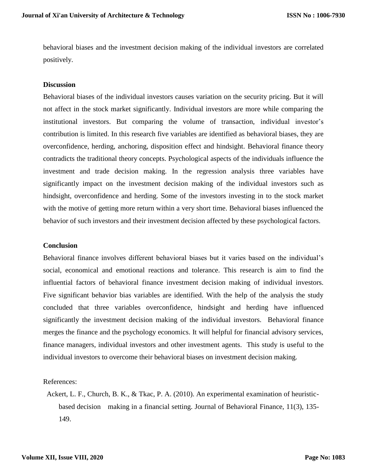behavioral biases and the investment decision making of the individual investors are correlated positively.

### **Discussion**

Behavioral biases of the individual investors causes variation on the security pricing. But it will not affect in the stock market significantly. Individual investors are more while comparing the institutional investors. But comparing the volume of transaction, individual investor's contribution is limited. In this research five variables are identified as behavioral biases, they are overconfidence, herding, anchoring, disposition effect and hindsight. Behavioral finance theory contradicts the traditional theory concepts. Psychological aspects of the individuals influence the investment and trade decision making. In the regression analysis three variables have significantly impact on the investment decision making of the individual investors such as hindsight, overconfidence and herding. Some of the investors investing in to the stock market with the motive of getting more return within a very short time. Behavioral biases influenced the behavior of such investors and their investment decision affected by these psychological factors.

### **Conclusion**

Behavioral finance involves different behavioral biases but it varies based on the individual's social, economical and emotional reactions and tolerance. This research is aim to find the influential factors of behavioral finance investment decision making of individual investors. Five significant behavior bias variables are identified. With the help of the analysis the study concluded that three variables overconfidence, hindsight and herding have influenced significantly the investment decision making of the individual investors. Behavioral finance merges the finance and the psychology economics. It will helpful for financial advisory services, finance managers, individual investors and other investment agents. This study is useful to the individual investors to overcome their behavioral biases on investment decision making.

References:

Ackert, L. F., Church, B. K., & Tkac, P. A. (2010). An experimental examination of heuristicbased decision making in a financial setting. Journal of Behavioral Finance, 11(3), 135- 149.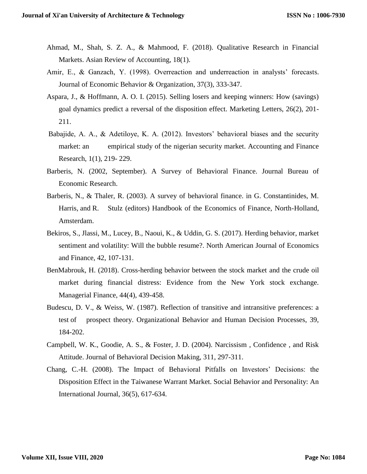- Ahmad, M., Shah, S. Z. A., & Mahmood, F. (2018). Qualitative Research in Financial Markets. Asian Review of Accounting, 18(1).
- Amir, E., & Ganzach, Y. (1998). Overreaction and underreaction in analysts' forecasts. Journal of Economic Behavior & Organization, 37(3), 333-347.
- Aspara, J., & Hoffmann, A. O. I. (2015). Selling losers and keeping winners: How (savings) goal dynamics predict a reversal of the disposition effect. Marketing Letters, 26(2), 201- 211.
- Babajide, A. A., & Adetiloye, K. A. (2012). Investors' behavioral biases and the security market: an empirical study of the nigerian security market. Accounting and Finance Research, 1(1), 219- 229.
- Barberis, N. (2002, September). A Survey of Behavioral Finance. Journal Bureau of Economic Research.
- Barberis, N., & Thaler, R. (2003). A survey of behavioral finance. in G. Constantinides, M. Harris, and R. Stulz (editors) Handbook of the Economics of Finance, North-Holland, Amsterdam.
- Bekiros, S., Jlassi, M., Lucey, B., Naoui, K., & Uddin, G. S. (2017). Herding behavior, market sentiment and volatility: Will the bubble resume?. North American Journal of Economics and Finance, 42, 107-131.
- BenMabrouk, H. (2018). Cross-herding behavior between the stock market and the crude oil market during financial distress: Evidence from the New York stock exchange. Managerial Finance, 44(4), 439-458.
- Budescu, D. V., & Weiss, W. (1987). Reflection of transitive and intransitive preferences: a test of prospect theory. Organizational Behavior and Human Decision Processes, 39, 184-202.
- Campbell, W. K., Goodie, A. S., & Foster, J. D. (2004). Narcissism , Confidence , and Risk Attitude. Journal of Behavioral Decision Making, 311, 297-311.
- Chang, C.-H. (2008). The Impact of Behavioral Pitfalls on Investors' Decisions: the Disposition Effect in the Taiwanese Warrant Market. Social Behavior and Personality: An International Journal, 36(5), 617-634.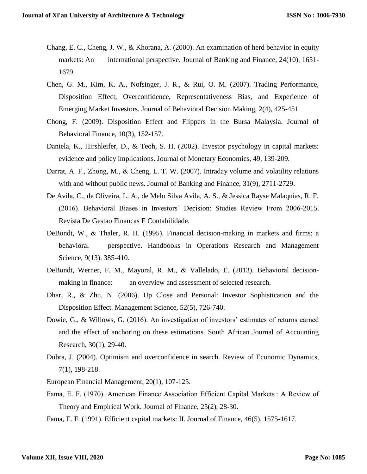- Chang, E. C., Cheng, J. W., & Khorana, A. (2000). An examination of herd behavior in equity markets: An international perspective. Journal of Banking and Finance, 24(10), 1651-1679.
- Chen, G. M., Kim, K. A., Nofsinger, J. R., & Rui, O. M. (2007). Trading Performance, Disposition Effect, Overconfidence, Representativeness Bias, and Experience of Emerging Market Investors. Journal of Behavioral Decision Making, 2(4), 425-451
- Chong, F. (2009). Disposition Effect and Flippers in the Bursa Malaysia. Journal of Behavioral Finance, 10(3), 152-157.
- Daniela, K., Hirshleifer, D., & Teoh, S. H. (2002). Investor psychology in capital markets: evidence and policy implications. Journal of Monetary Economics, 49, 139-209.
- Darrat, A. F., Zhong, M., & Cheng, L. T. W. (2007). Intraday volume and volatility relations with and without public news. Journal of Banking and Finance, 31(9), 2711-2729.
- De Avila, C., de Oliveira, L. A., de Melo Silva Avila, A. S., & Jessica Rayse Malaquias, R. F. (2016). Behavioral Biases in Investors' Decision: Studies Review From 2006-2015. Revista De Gestao Financas E Contabilidade.
- DeBondt, W., & Thaler, R. H. (1995). Financial decision-making in markets and firms: a behavioral perspective. Handbooks in Operations Research and Management Science, 9(13), 385-410.
- DeBondt, Werner, F. M., Mayoral, R. M., & Vallelado, E. (2013). Behavioral decisionmaking in finance: an overview and assessment of selected research.
- Dhar, R., & Zhu, N. (2006). Up Close and Personal: Investor Sophistication and the Disposition Effect. Management Science, 52(5), 726-740.
- Dowie, G., & Willows, G. (2016). An investigation of investors' estimates of returns earned and the effect of anchoring on these estimations. South African Journal of Accounting Research, 30(1), 29-40.
- Dubra, J. (2004). Optimism and overconfidence in search. Review of Economic Dynamics, 7(1), 198-218.
- European Financial Management, 20(1), 107-125.
- Fama, E. F. (1970). American Finance Association Efficient Capital Markets : A Review of Theory and Empirical Work. Journal of Finance, 25(2), 28-30.

Fama, E. F. (1991). Efficient capital markets: II. Journal of Finance, 46(5), 1575-1617.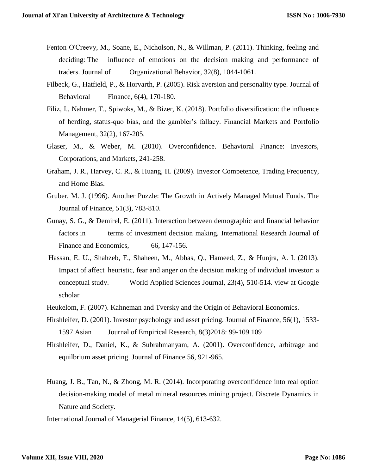- Fenton‐O'Creevy, M., Soane, E., Nicholson, N., & Willman, P. (2011). Thinking, feeling and deciding: The influence of emotions on the decision making and performance of traders. Journal of Organizational Behavior, 32(8), 1044-1061.
- Filbeck, G., Hatfield, P., & Horvarth, P. (2005). Risk aversion and personality type. Journal of Behavioral Finance, 6(4), 170-180.
- Filiz, I., Nahmer, T., Spiwoks, M., & Bizer, K. (2018). Portfolio diversification: the influence of herding, status-quo bias, and the gambler's fallacy. Financial Markets and Portfolio Management, 32(2), 167-205.
- Glaser, M., & Weber, M. (2010). Overconfidence. Behavioral Finance: Investors, Corporations, and Markets, 241-258.
- Graham, J. R., Harvey, C. R., & Huang, H. (2009). Investor Competence, Trading Frequency, and Home Bias.
- Gruber, M. J. (1996). Another Puzzle: The Growth in Actively Managed Mutual Funds. The Journal of Finance, 51(3), 783-810.
- Gunay, S. G., & Demirel, E. (2011). Interaction between demographic and financial behavior factors in terms of investment decision making. International Research Journal of Finance and Economics, 66, 147-156.
- Hassan, E. U., Shahzeb, F., Shaheen, M., Abbas, Q., Hameed, Z., & Hunjra, A. I. (2013). Impact of affect heuristic, fear and anger on the decision making of individual investor: a conceptual study. World Applied Sciences Journal, 23(4), 510-514. view at Google scholar
- Heukelom, F. (2007). Kahneman and Tversky and the Origin of Behavioral Economics.
- Hirshleifer, D. (2001). Investor psychology and asset pricing. Journal of Finance, 56(1), 1533- 1597 Asian Journal of Empirical Research, 8(3)2018: 99-109 109
- Hirshleifer, D., Daniel, K., & Subrahmanyam, A. (2001). Overconfidence, arbitrage and equilbrium asset pricing. Journal of Finance 56, 921-965.
- Huang, J. B., Tan, N., & Zhong, M. R. (2014). Incorporating overconfidence into real option decision-making model of metal mineral resources mining project. Discrete Dynamics in Nature and Society.

International Journal of Managerial Finance, 14(5), 613-632.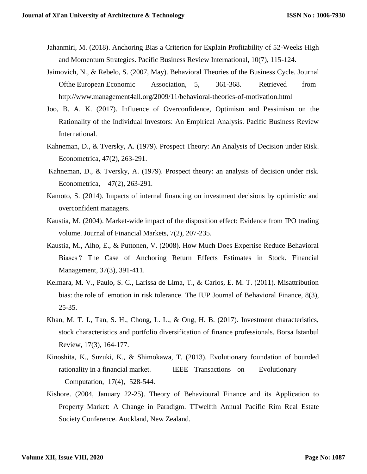- Jahanmiri, M. (2018). Anchoring Bias a Criterion for Explain Profitability of 52-Weeks High and Momentum Strategies. Pacific Business Review International, 10(7), 115-124.
- Jaimovich, N., & Rebelo, S. (2007, May). Behavioral Theories of the Business Cycle. Journal Ofthe European Economic Association, 5, 361-368. Retrieved from <http://www.management4all.org/2009/11/behavioral-theories-of-motivation.html>
- Joo, B. A. K. (2017). Influence of Overconfidence, Optimism and Pessimism on the Rationality of the Individual Investors: An Empirical Analysis. Pacific Business Review International.
- Kahneman, D., & Tversky, A. (1979). Prospect Theory: An Analysis of Decision under Risk. Econometrica, 47(2), 263-291.
- Kahneman, D., & Tversky, A. (1979). Prospect theory: an analysis of decision under risk. Econometrica, 47(2), 263-291.
- Kamoto, S. (2014). Impacts of internal financing on investment decisions by optimistic and overconfident managers.
- Kaustia, M. (2004). Market-wide impact of the disposition effect: Evidence from IPO trading volume. Journal of Financial Markets, 7(2), 207-235.
- Kaustia, M., Alho, E., & Puttonen, V. (2008). How Much Does Expertise Reduce Behavioral Biases ? The Case of Anchoring Return Effects Estimates in Stock. Financial Management, 37(3), 391-411.
- Kelmara, M. V., Paulo, S. C., Larissa de Lima, T., & Carlos, E. M. T. (2011). Misattribution bias: the role of emotion in risk tolerance. The IUP Journal of Behavioral Finance, 8(3), 25-35.
- Khan, M. T. I., Tan, S. H., Chong, L. L., & Ong, H. B. (2017). Investment characteristics, stock characteristics and portfolio diversification of finance professionals. Borsa Istanbul Review, 17(3), 164-177.
- Kinoshita, K., Suzuki, K., & Shimokawa, T. (2013). Evolutionary foundation of bounded rationality in a financial market. IEEE Transactions on Evolutionary Computation, 17(4), 528-544.
- Kishore. (2004, January 22-25). Theory of Behavioural Finance and its Application to Property Market: A Change in Paradigm. TTwelfth Annual Pacific Rim Real Estate Society Conference. Auckland, New Zealand.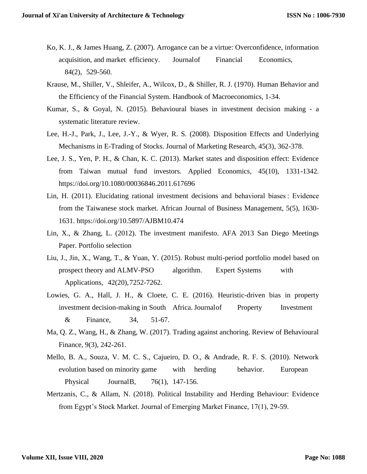- Ko, K. J., & James Huang, Z. (2007). Arrogance can be a virtue: Overconfidence, information acquisition, and market efficiency. Journalof Financial Economics, 84(2), 529-560.
- Krause, M., Shiller, V., Shleifer, A., Wilcox, D., & Shiller, R. J. (1970). Human Behavior and the Efficiency of the Financial System. Handbook of Macroeconomics, 1-34.
- Kumar, S., & Goyal, N. (2015). Behavioural biases in investment decision making a systematic literature review.
- Lee, H.-J., Park, J., Lee, J.-Y., & Wyer, R. S. (2008). Disposition Effects and Underlying Mechanisms in E-Trading of Stocks. Journal of Marketing Research, 45(3), 362-378.
- Lee, J. S., Yen, P. H., & Chan, K. C. (2013). Market states and disposition effect: Evidence from Taiwan mutual fund investors. Applied Economics, 45(10), 1331-1342. https://doi.org/10.1080/00036846.2011.617696
- Lin, H. (2011). Elucidating rational investment decisions and behavioral biases : Evidence from the Taiwanese stock market. African Journal of Business Management, 5(5), 1630- 1631. https://doi.org/10.5897/AJBM10.474
- Lin, X., & Zhang, L. (2012). The investment manifesto. AFA 2013 San Diego Meetings Paper. Portfolio selection
- Liu, J., Jin, X., Wang, T., & Yuan, Y. (2015). Robust multi-period portfolio model based on prospect theory and ALMV-PSO algorithm. Expert Systems with Applications, 42(20),7252-7262.
- Lowies, G. A., Hall, J. H., & Cloete, C. E. (2016). Heuristic-driven bias in property investment decision-making in South Africa. Journal of Property Investment & Finance, 34, 51-67.
- Ma, Q. Z., Wang, H., & Zhang, W. (2017). Trading against anchoring. Review of Behavioural Finance, 9(3), 242-261.
- Mello, B. A., Souza, V. M. C. S., Cajueiro, D. O., & Andrade, R. F. S. (2010). Network evolution based on minority game with herding behavior. European Physical JournalB, 76(1), 147-156.
- Mertzanis, C., & Allam, N. (2018). Political Instability and Herding Behaviour: Evidence from Egypt's Stock Market. Journal of Emerging Market Finance, 17(1), 29-59.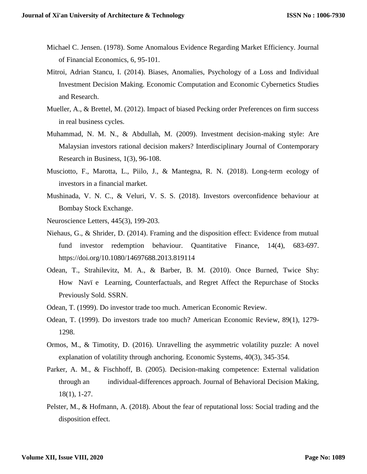- Michael C. Jensen. (1978). Some Anomalous Evidence Regarding Market Efficiency. Journal of Financial Economics, 6, 95-101.
- Mitroi, Adrian Stancu, I. (2014). Biases, Anomalies, Psychology of a Loss and Individual Investment Decision Making. Economic Computation and Economic Cybernetics Studies and Research.
- Mueller, A., & Brettel, M. (2012). Impact of biased Pecking order Preferences on firm success in real business cycles.
- Muhammad, N. M. N., & Abdullah, M. (2009). Investment decision-making style: Are Malaysian investors rational decision makers? Interdisciplinary Journal of Contemporary Research in Business, 1(3), 96-108.
- Musciotto, F., Marotta, L., Piilo, J., & Mantegna, R. N. (2018). Long-term ecology of investors in a financial market.
- Mushinada, V. N. C., & Veluri, V. S. S. (2018). Investors overconfidence behaviour at Bombay Stock Exchange.
- Neuroscience Letters, 445(3), 199-203.
- Niehaus, G., & Shrider, D. (2014). Framing and the disposition effect: Evidence from mutual fund investor redemption behaviour. Quantitative Finance, 14(4), 683-697. https://doi.org/10.1080/14697688.2013.819114
- Odean, T., Strahilevitz, M. A., & Barber, B. M. (2010). Once Burned, Twice Shy: How Navï e Learning, Counterfactuals, and Regret Affect the Repurchase of Stocks Previously Sold. SSRN.
- Odean, T. (1999). Do investor trade too much. American Economic Review.
- Odean, T. (1999). Do investors trade too much? American Economic Review, 89(1), 1279- 1298.
- Ormos, M., & Timotity, D. (2016). Unravelling the asymmetric volatility puzzle: A novel explanation of volatility through anchoring. Economic Systems, 40(3), 345-354.
- Parker, A. M., & Fischhoff, B. (2005). Decision-making competence: External validation through an individual-differences approach. Journal of Behavioral Decision Making, 18(1), 1-27.
- Pelster, M., & Hofmann, A. (2018). About the fear of reputational loss: Social trading and the disposition effect.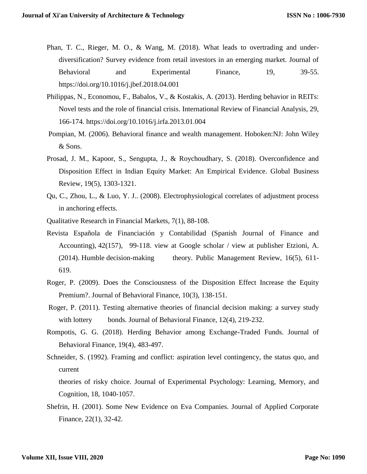- Phan, T. C., Rieger, M. O., & Wang, M. (2018). What leads to overtrading and underdiversification? Survey evidence from retail investors in an emerging market. Journal of Behavioral and Experimental Finance, 19, 39-55. https://doi.org/10.1016/j.jbef.2018.04.001
- Philippas, N., Economou, F., Babalos, V., & Kostakis, A. (2013). Herding behavior in REITs: Novel tests and the role of financial crisis. International Review of Financial Analysis, 29, 166-174. https://doi.org/10.1016/j.irfa.2013.01.004
- Pompian, M. (2006). Behavioral finance and wealth management. Hoboken:NJ: John Wiley & Sons.
- Prosad, J. M., Kapoor, S., Sengupta, J., & Roychoudhary, S. (2018). Overconfidence and Disposition Effect in Indian Equity Market: An Empirical Evidence. Global Business Review, 19(5), 1303-1321.
- Qu, C., Zhou, L., & Luo, Y. J.. (2008). Electrophysiological correlates of adjustment process in anchoring effects.
- Qualitative Research in Financial Markets, 7(1), 88-108.
- Revista Española de Financiación y Contabilidad (Spanish Journal of Finance and Accounting), 42(157), 99-118. view at Google scholar / view at publisher Etzioni, A. (2014). Humble decision-making theory. Public Management Review, 16(5), 611- 619.
- Roger, P. (2009). Does the Consciousness of the Disposition Effect Increase the Equity Premium?. Journal of Behavioral Finance, 10(3), 138-151.
- Roger, P. (2011). Testing alternative theories of financial decision making: a survey study with lottery bonds. Journal of Behavioral Finance, 12(4), 219-232.
- Rompotis, G. G. (2018). Herding Behavior among Exchange-Traded Funds. Journal of Behavioral Finance, 19(4), 483-497.
- Schneider, S. (1992). Framing and conflict: aspiration level contingency, the status quo, and current

theories of risky choice. Journal of Experimental Psychology: Learning, Memory, and Cognition, 18, 1040-1057.

Shefrin, H. (2001). Some New Evidence on Eva Companies. Journal of Applied Corporate Finance, 22(1), 32-42.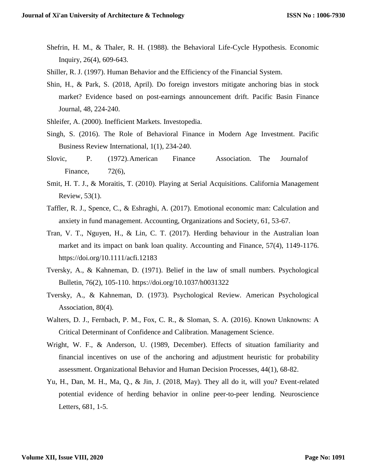- Shefrin, H. M., & Thaler, R. H. (1988). the Behavioral Life-Cycle Hypothesis. Economic Inquiry, 26(4), 609-643.
- Shiller, R. J. (1997). Human Behavior and the Efficiency of the Financial System.
- Shin, H., & Park, S. (2018, April). Do foreign investors mitigate anchoring bias in stock market? Evidence based on post-earnings announcement drift. Pacific Basin Finance Journal, 48, 224-240.
- Shleifer, A. (2000). Inefficient Markets. Investopedia.
- Singh, S. (2016). The Role of Behavioral Finance in Modern Age Investment. Pacific Business Review International, 1(1), 234-240.
- Slovic, P. (1972).American Finance Association. The Journalof Finance, 72(6),
- Smit, H. T. J., & Moraitis, T. (2010). Playing at Serial Acquisitions. California Management Review, 53(1).
- Taffler, R. J., Spence, C., & Eshraghi, A. (2017). Emotional economic man: Calculation and anxiety in fund management. Accounting, Organizations and Society, 61, 53-67.
- Tran, V. T., Nguyen, H., & Lin, C. T. (2017). Herding behaviour in the Australian loan market and its impact on bank loan quality. Accounting and Finance, 57(4), 1149-1176. https://doi.org/10.1111/acfi.12183
- Tversky, A., & Kahneman, D. (1971). Belief in the law of small numbers. Psychological Bulletin, 76(2), 105-110. https://doi.org/10.1037/h0031322
- Tversky, A., & Kahneman, D. (1973). Psychological Review. American Psychological Association, 80(4).
- Walters, D. J., Fernbach, P. M., Fox, C. R., & Sloman, S. A. (2016). Known Unknowns: A Critical Determinant of Confidence and Calibration. Management Science.
- Wright, W. F., & Anderson, U. (1989, December). Effects of situation familiarity and financial incentives on use of the anchoring and adjustment heuristic for probability assessment. Organizational Behavior and Human Decision Processes, 44(1), 68-82.
- Yu, H., Dan, M. H., Ma, Q., & Jin, J. (2018, May). They all do it, will you? Event-related potential evidence of herding behavior in online peer-to-peer lending. Neuroscience Letters, 681, 1-5.